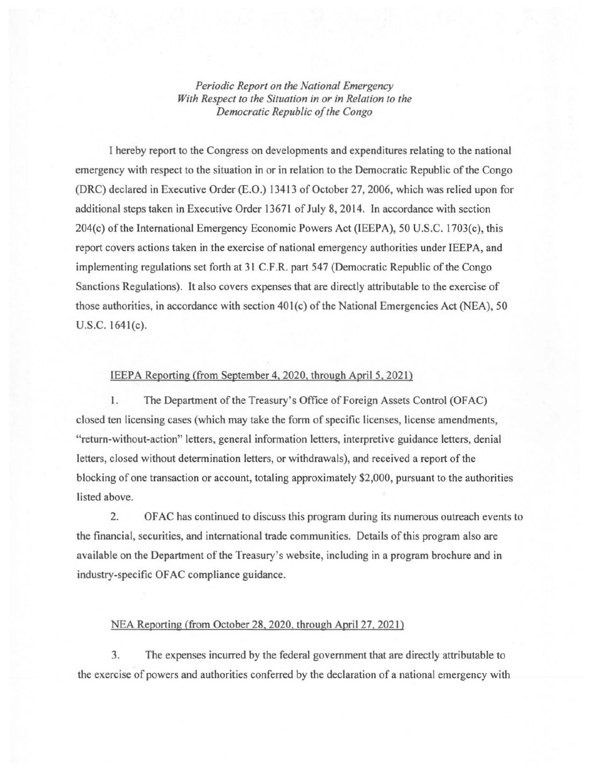*Periodic Report on the National Emergency With Respect to the Situation in or in Relation to the Democratic Republic of the Congo* 

I hereby report to the Congress on developments and expenditures relating to the national emergency with respect to the situation in or in relation to the Democratic Republic of the Congo (DRC) declared in Executive Order (E.O.) 13413 of October 27,2006, which was relied upon for additional steps taken in Executive Order 13671 of July 8, 2014. In accordance with section 204(c) ofthe International Emergency Economic Powers Act (IEEPA), 50 U.S.C. 1703(c), this report covers actions taken in the exercise of national emergency authorities under IEEPA, and implementing regulations set forth at 31 C.F.R. part 547 (Democratic Republic of the Congo Sanctions Regulations). It also covers expenses that are directly attributable to the exercise of those authorities, in accordance with section 401(c) of the National Emergencies Act (NEA), 50 U.S.C. 164l(c).

## IEEPA Reporting (from September 4, 2020, through April 5, 2021)

1. The Department of the Treasury's Office of Foreign Assets Control (OFAC) closed ten licensing cases (which may take the form of specific licenses, license amendments, "return-without-action" letters, general information letters, interpretive guidance letters, denial letters, closed without determination letters, or withdrawals), and received a report of the blocking of one transaction or account, totaling approximately \$2,000, pursuant to the authorities listed above.

2. OF AC has continued to discuss this program during its numerous outreach events to the financial, securities, and international trade communities. Details of this program also are available on the Department of the Treasury's website, including in a program brochure and in industry-specific OF AC compliance guidance.

## NEA Reporting (from October 28, 2020, through April 27, 2021)

3. The expenses incurred by the federal government that are directly attributable to the exercise of powers and authorities conferred by the declaration of a national emergency with